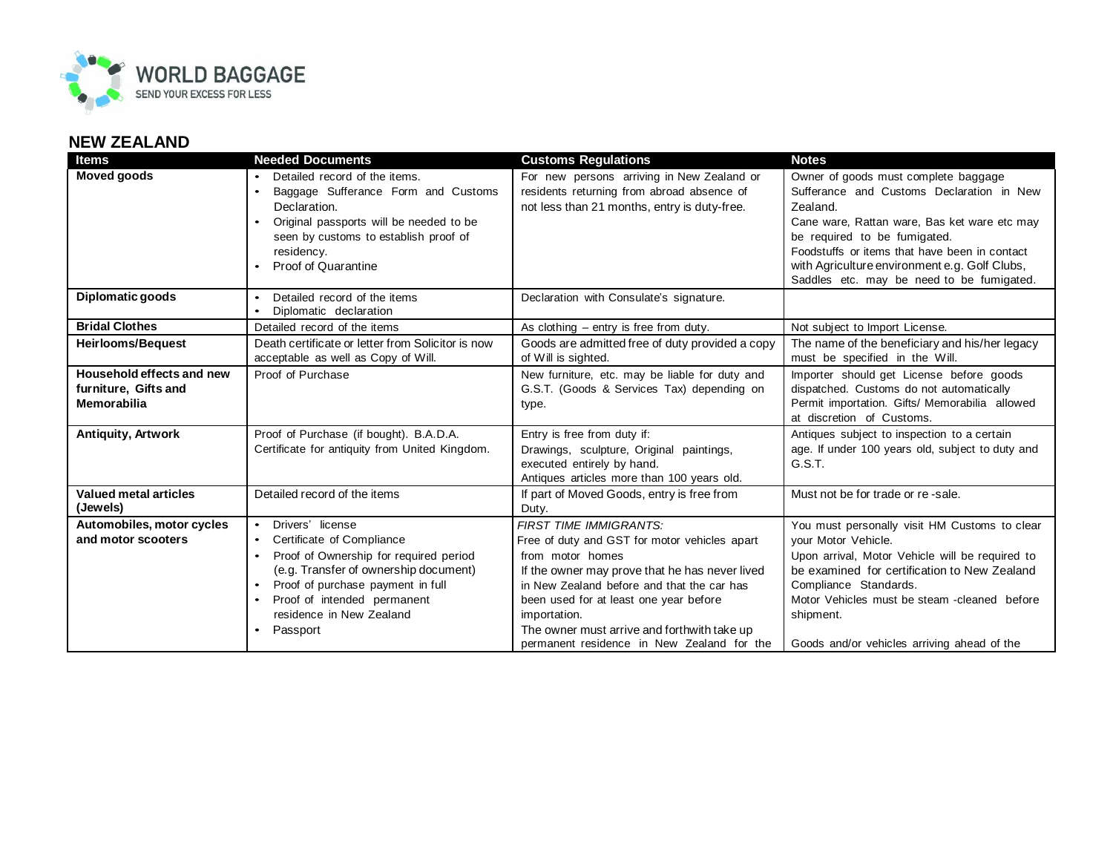

## **NEW ZEALAND**

| <b>Items</b>                 | <b>Needed Documents</b>                                                                  | <b>Customs Regulations</b>                                                                   | <b>Notes</b>                                                                     |
|------------------------------|------------------------------------------------------------------------------------------|----------------------------------------------------------------------------------------------|----------------------------------------------------------------------------------|
| <b>Moved goods</b>           | Detailed record of the items.                                                            | For new persons arriving in New Zealand or                                                   | Owner of goods must complete baggage                                             |
|                              | Baggage Sufferance Form and Customs                                                      | residents returning from abroad absence of                                                   | Sufferance and Customs Declaration in New                                        |
|                              | Declaration.                                                                             | not less than 21 months, entry is duty-free.                                                 | Zealand.                                                                         |
|                              | Original passports will be needed to be                                                  |                                                                                              | Cane ware, Rattan ware, Bas ket ware etc may                                     |
|                              | seen by customs to establish proof of                                                    |                                                                                              | be required to be fumigated.                                                     |
|                              | residency.                                                                               |                                                                                              | Foodstuffs or items that have been in contact                                    |
|                              | Proof of Quarantine                                                                      |                                                                                              | with Agriculture environment e.g. Golf Clubs,                                    |
|                              |                                                                                          |                                                                                              | Saddles etc. may be need to be fumigated.                                        |
| Diplomatic goods             | Detailed record of the items<br>$\bullet$                                                | Declaration with Consulate's signature.                                                      |                                                                                  |
| <b>Bridal Clothes</b>        | Diplomatic declaration<br>Detailed record of the items                                   | As clothing $-$ entry is free from duty.                                                     | Not subject to Import License.                                                   |
|                              |                                                                                          |                                                                                              |                                                                                  |
| <b>Heirlooms/Bequest</b>     | Death certificate or letter from Solicitor is now<br>acceptable as well as Copy of Will. | Goods are admitted free of duty provided a copy<br>of Will is sighted.                       | The name of the beneficiary and his/her legacy<br>must be specified in the Will. |
| Household effects and new    | Proof of Purchase                                                                        | New furniture, etc. may be liable for duty and                                               | Importer should get License before goods                                         |
| furniture, Gifts and         |                                                                                          | G.S.T. (Goods & Services Tax) depending on                                                   | dispatched. Customs do not automatically                                         |
| Memorabilia                  |                                                                                          | type.                                                                                        | Permit importation. Gifts/ Memorabilia allowed                                   |
|                              |                                                                                          |                                                                                              | at discretion of Customs.                                                        |
| Antiquity, Artwork           | Proof of Purchase (if bought). B.A.D.A.                                                  | Entry is free from duty if:                                                                  | Antiques subject to inspection to a certain                                      |
|                              | Certificate for antiquity from United Kingdom.                                           | Drawings, sculpture, Original paintings,                                                     | age. If under 100 years old, subject to duty and                                 |
|                              |                                                                                          | executed entirely by hand.                                                                   | G.S.T.                                                                           |
|                              |                                                                                          | Antiques articles more than 100 years old.                                                   |                                                                                  |
| <b>Valued metal articles</b> | Detailed record of the items                                                             | If part of Moved Goods, entry is free from                                                   | Must not be for trade or re-sale.                                                |
| (Jewels)                     |                                                                                          | Duty.                                                                                        |                                                                                  |
| Automobiles, motor cycles    | Drivers' license<br>$\bullet$                                                            | <b>FIRST TIME IMMIGRANTS:</b>                                                                | You must personally visit HM Customs to clear                                    |
| and motor scooters           | Certificate of Compliance<br>$\bullet$                                                   | Free of duty and GST for motor vehicles apart                                                | your Motor Vehicle.                                                              |
|                              | Proof of Ownership for required period<br>$\bullet$                                      | from motor homes                                                                             | Upon arrival, Motor Vehicle will be required to                                  |
|                              | (e.g. Transfer of ownership document)<br>Proof of purchase payment in full               | If the owner may prove that he has never lived<br>in New Zealand before and that the car has | be examined for certification to New Zealand<br>Compliance Standards.            |
|                              | Proof of intended permanent                                                              | been used for at least one year before                                                       | Motor Vehicles must be steam - cleaned before                                    |
|                              | residence in New Zealand                                                                 | importation.                                                                                 | shipment.                                                                        |
|                              | Passport                                                                                 | The owner must arrive and forthwith take up                                                  |                                                                                  |
|                              |                                                                                          | permanent residence in New Zealand for the                                                   | Goods and/or vehicles arriving ahead of the                                      |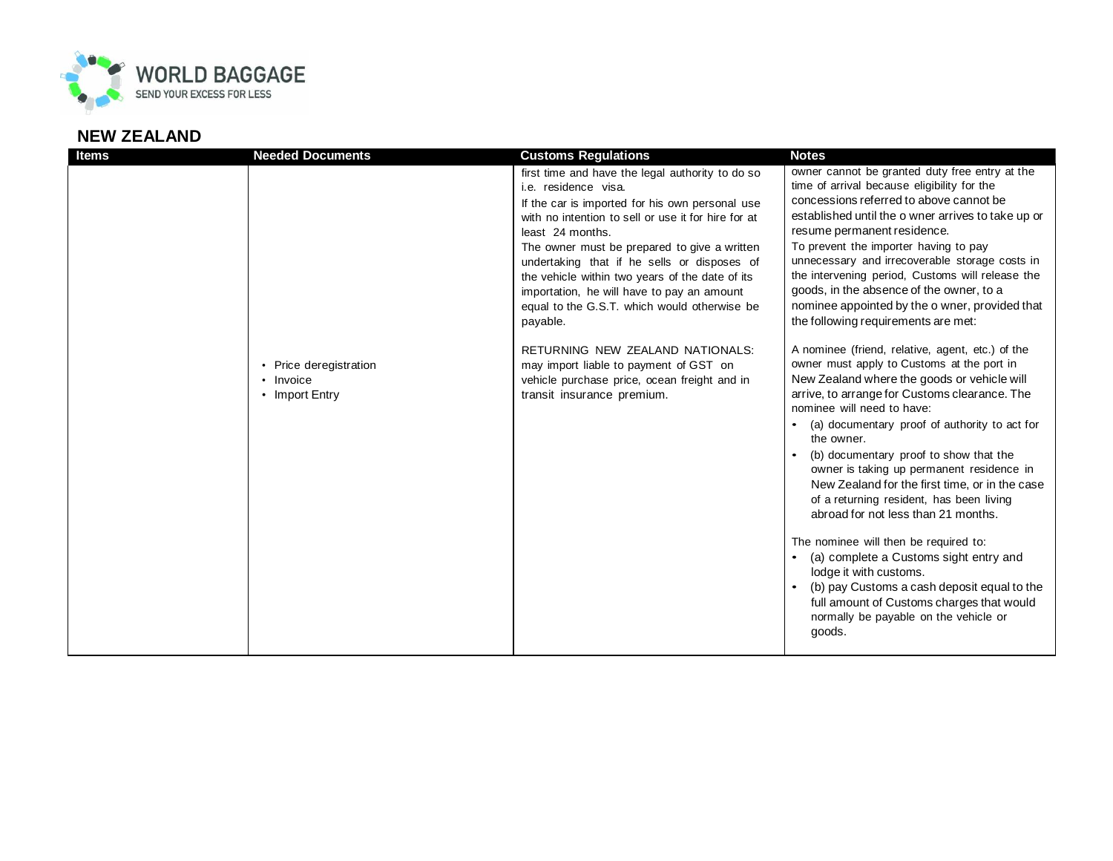

## **NEW ZEALAND**

| <b>Items</b> | <b>Needed Documents</b>                               | <b>Customs Regulations</b>                                                                                                                                                                                                                                                                                                                                                                                                                                                                                                                                                                                                     | <b>Notes</b>                                                                                                                                                                                                                                                                                                                                                                                                                                                                                                                                                                                                                                                                                                                                                                                                                                                                                                                                                                                                                                                                                                                                                                                                                                                                                             |
|--------------|-------------------------------------------------------|--------------------------------------------------------------------------------------------------------------------------------------------------------------------------------------------------------------------------------------------------------------------------------------------------------------------------------------------------------------------------------------------------------------------------------------------------------------------------------------------------------------------------------------------------------------------------------------------------------------------------------|----------------------------------------------------------------------------------------------------------------------------------------------------------------------------------------------------------------------------------------------------------------------------------------------------------------------------------------------------------------------------------------------------------------------------------------------------------------------------------------------------------------------------------------------------------------------------------------------------------------------------------------------------------------------------------------------------------------------------------------------------------------------------------------------------------------------------------------------------------------------------------------------------------------------------------------------------------------------------------------------------------------------------------------------------------------------------------------------------------------------------------------------------------------------------------------------------------------------------------------------------------------------------------------------------------|
|              | • Price deregistration<br>• Invoice<br>• Import Entry | first time and have the legal authority to do so<br>i.e. residence visa.<br>If the car is imported for his own personal use<br>with no intention to sell or use it for hire for at<br>least 24 months.<br>The owner must be prepared to give a written<br>undertaking that if he sells or disposes of<br>the vehicle within two years of the date of its<br>importation, he will have to pay an amount<br>equal to the G.S.T. which would otherwise be<br>payable.<br>RETURNING NEW ZEALAND NATIONALS:<br>may import liable to payment of GST on<br>vehicle purchase price, ocean freight and in<br>transit insurance premium. | owner cannot be granted duty free entry at the<br>time of arrival because eligibility for the<br>concessions referred to above cannot be<br>established until the o wner arrives to take up or<br>resume permanent residence.<br>To prevent the importer having to pay<br>unnecessary and irrecoverable storage costs in<br>the intervening period, Customs will release the<br>goods, in the absence of the owner, to a<br>nominee appointed by the o wner, provided that<br>the following requirements are met:<br>A nominee (friend, relative, agent, etc.) of the<br>owner must apply to Customs at the port in<br>New Zealand where the goods or vehicle will<br>arrive, to arrange for Customs clearance. The<br>nominee will need to have:<br>(a) documentary proof of authority to act for<br>the owner.<br>(b) documentary proof to show that the<br>owner is taking up permanent residence in<br>New Zealand for the first time, or in the case<br>of a returning resident, has been living<br>abroad for not less than 21 months.<br>The nominee will then be required to:<br>(a) complete a Customs sight entry and<br>lodge it with customs.<br>(b) pay Customs a cash deposit equal to the<br>full amount of Customs charges that would<br>normally be payable on the vehicle or<br>goods. |
|              |                                                       |                                                                                                                                                                                                                                                                                                                                                                                                                                                                                                                                                                                                                                |                                                                                                                                                                                                                                                                                                                                                                                                                                                                                                                                                                                                                                                                                                                                                                                                                                                                                                                                                                                                                                                                                                                                                                                                                                                                                                          |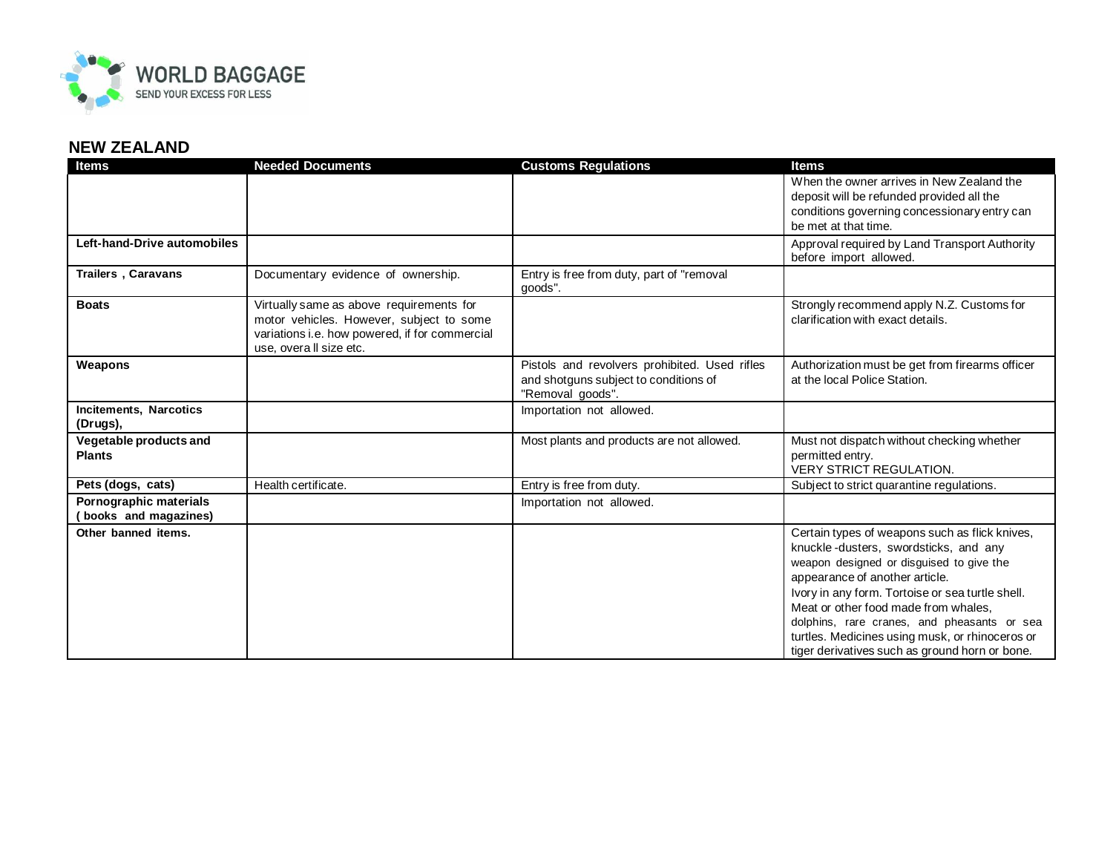

## **NEW ZEALAND**

| <b>Items</b>                                   | <b>Needed Documents</b>                                                                                                                                          | <b>Customs Regulations</b>                                                                                 | <b>Items</b>                                                                                                                                                                                                                                                                                                                                                                                                          |
|------------------------------------------------|------------------------------------------------------------------------------------------------------------------------------------------------------------------|------------------------------------------------------------------------------------------------------------|-----------------------------------------------------------------------------------------------------------------------------------------------------------------------------------------------------------------------------------------------------------------------------------------------------------------------------------------------------------------------------------------------------------------------|
|                                                |                                                                                                                                                                  |                                                                                                            | When the owner arrives in New Zealand the<br>deposit will be refunded provided all the<br>conditions governing concessionary entry can<br>be met at that time.                                                                                                                                                                                                                                                        |
| Left-hand-Drive automobiles                    |                                                                                                                                                                  |                                                                                                            | Approval required by Land Transport Authority<br>before import allowed.                                                                                                                                                                                                                                                                                                                                               |
| <b>Trailers</b> , Caravans                     | Documentary evidence of ownership.                                                                                                                               | Entry is free from duty, part of "removal<br>goods".                                                       |                                                                                                                                                                                                                                                                                                                                                                                                                       |
| <b>Boats</b>                                   | Virtually same as above requirements for<br>motor vehicles. However, subject to some<br>variations i.e. how powered, if for commercial<br>use, overall size etc. |                                                                                                            | Strongly recommend apply N.Z. Customs for<br>clarification with exact details.                                                                                                                                                                                                                                                                                                                                        |
| Weapons                                        |                                                                                                                                                                  | Pistols and revolvers prohibited. Used rifles<br>and shotguns subject to conditions of<br>"Removal goods". | Authorization must be get from firearms officer<br>at the local Police Station.                                                                                                                                                                                                                                                                                                                                       |
| <b>Incitements, Narcotics</b><br>(Drugs),      |                                                                                                                                                                  | Importation not allowed.                                                                                   |                                                                                                                                                                                                                                                                                                                                                                                                                       |
| Vegetable products and<br><b>Plants</b>        |                                                                                                                                                                  | Most plants and products are not allowed.                                                                  | Must not dispatch without checking whether<br>permitted entry.<br><b>VERY STRICT REGULATION.</b>                                                                                                                                                                                                                                                                                                                      |
| Pets (dogs, cats)                              | Health certificate.                                                                                                                                              | Entry is free from duty.                                                                                   | Subject to strict quarantine regulations.                                                                                                                                                                                                                                                                                                                                                                             |
| Pornographic materials<br>books and magazines) |                                                                                                                                                                  | Importation not allowed.                                                                                   |                                                                                                                                                                                                                                                                                                                                                                                                                       |
| Other banned items.                            |                                                                                                                                                                  |                                                                                                            | Certain types of weapons such as flick knives,<br>knuckle-dusters, swordsticks, and any<br>weapon designed or disguised to give the<br>appearance of another article.<br>Ivory in any form. Tortoise or sea turtle shell.<br>Meat or other food made from whales.<br>dolphins, rare cranes, and pheasants or sea<br>turtles. Medicines using musk, or rhinoceros or<br>tiger derivatives such as ground horn or bone. |